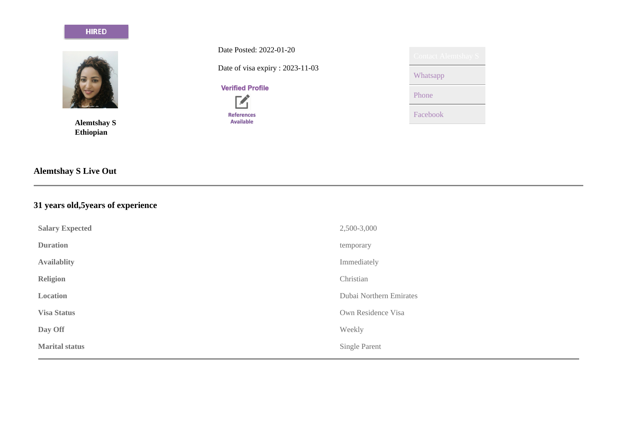# **HIRED**



**Alemtshay S Ethiopian**

**Alemtshay S Live Out**

**31 years old,5years of experience**

| <b>Salary Expected</b> | 2,500-3,000             |
|------------------------|-------------------------|
| <b>Duration</b>        | temporary               |
| <b>Availablity</b>     | Immediately             |
| <b>Religion</b>        | Christian               |
| <b>Location</b>        | Dubai Northern Emirates |
| <b>Visa Status</b>     | Own Residence Visa      |
| Day Off                | Weekly                  |
| <b>Marital status</b>  | Single Parent           |
|                        |                         |

Date Posted: 2022-01-20

Date of visa expiry : 2023-11-03

**Verified Profile** 



Whatsapp Phone Facebook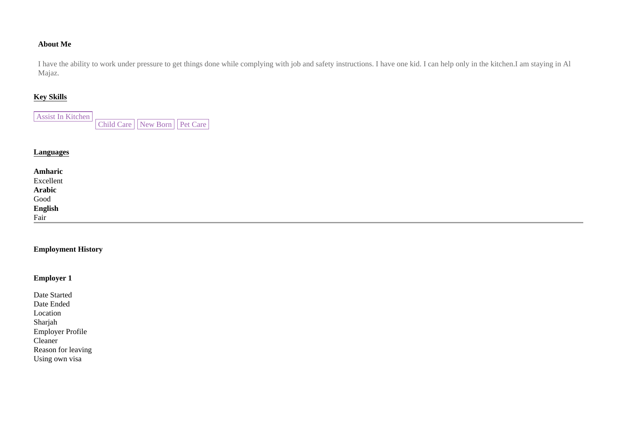# **About Me**

I have the ability to work under pressure to get things done while complying with job and safety instructions. I have one kid. I can help only in the kitchen.I am staying in Al Majaz.

# **Key Skills**

| Assist In Kitchen |                                      |  |
|-------------------|--------------------------------------|--|
|                   | Child Care     New Born     Pet Care |  |

# **Languages**

| Amharic<br>Excellent<br>Arabic<br>Good<br>English<br>Fair |  |  |
|-----------------------------------------------------------|--|--|

# **Employment History**

# **Employer 1**

| Date Started            |
|-------------------------|
| Date Ended              |
| Location                |
| Sharjah                 |
| <b>Employer Profile</b> |
| Cleaner                 |
| Reason for leaving      |
| Using own visa          |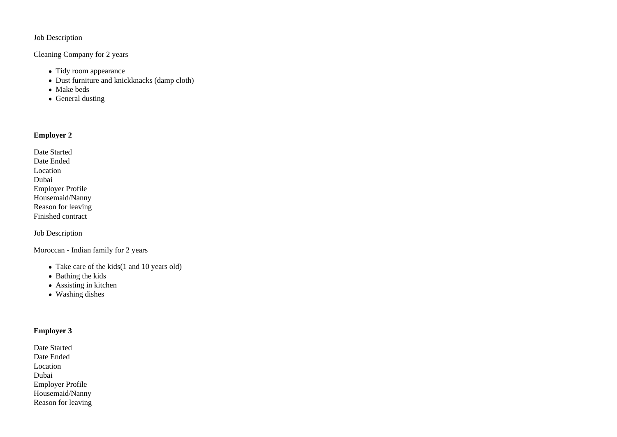### Job Description

### Cleaning Company for 2 years

- Tidy room appearance
- Dust furniture and knickknacks (damp cloth)
- Make beds
- General dusting

# **Employer 2**

| Date Started            |
|-------------------------|
| Date Ended              |
| Location                |
| Dubai                   |
| <b>Employer Profile</b> |
| Housemaid/Nanny         |
| Reason for leaving      |
| Finished contract       |
|                         |

Job Description

Moroccan - Indian family for 2 years

- Take care of the kids(1 and 10 years old)
- Bathing the kids
- Assisting in kitchen
- Washing dishes

# **Employer 3**

Date Started Date Ended Location Dubai Employer Profile Housemaid/Nanny Reason for leaving